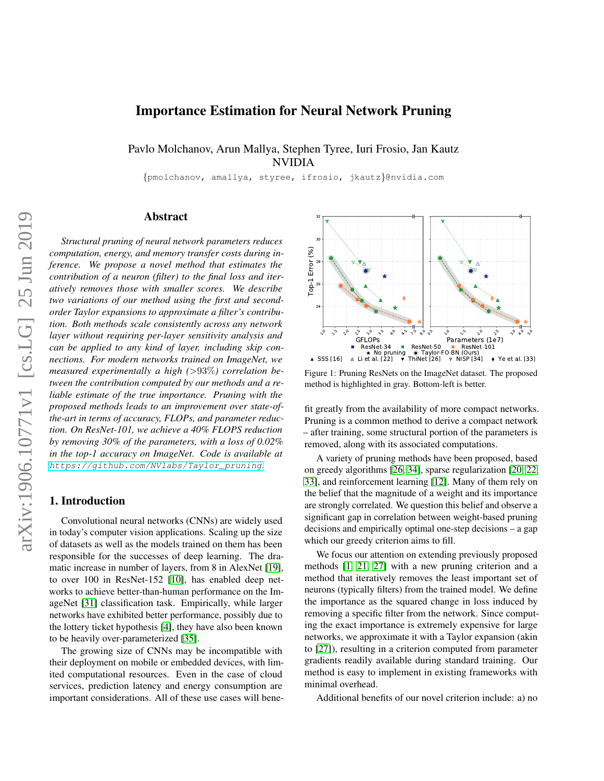# Importance Estimation for Neural Network Pruning

Pavlo Molchanov, Arun Mallya, Stephen Tyree, Iuri Frosio, Jan Kautz NVIDIA

{pmolchanov, amallya, styree, ifrosio, jkautz}@nvidia.com

# Abstract

*Structural pruning of neural network parameters reduces computation, energy, and memory transfer costs during inference. We propose a novel method that estimates the contribution of a neuron (filter) to the final loss and iteratively removes those with smaller scores. We describe two variations of our method using the first and secondorder Taylor expansions to approximate a filter's contribution. Both methods scale consistently across any network layer without requiring per-layer sensitivity analysis and can be applied to any kind of layer, including skip connections. For modern networks trained on ImageNet, we measured experimentally a high (*>93%*) correlation between the contribution computed by our methods and a reliable estimate of the true importance. Pruning with the proposed methods leads to an improvement over state-ofthe-art in terms of accuracy, FLOPs, and parameter reduction. On ResNet-101, we achieve a 40% FLOPS reduction by removing 30% of the parameters, with a loss of 0.02% in the top-1 accuracy on ImageNet. Code is available at* [https://github.com/NVlabs/Taylor\\_pruning](https://github.com/NVlabs/Taylor_pruning)*.* ager without requiring per-layer sensitivity analysis and<br>
constrained a may kind of layer, including skip con-<br>
meations. For modern networks trained on ImageNet, we<br>
measured experimentally a high (>93%) correlation be-<br>

# 1. Introduction

Convolutional neural networks (CNNs) are widely used in today's computer vision applications. Scaling up the size of datasets as well as the models trained on them has been responsible for the successes of deep learning. The dramatic increase in number of layers, from 8 in AlexNet [\[19\]](#page-8-0), to over 100 in ResNet-152 [\[10\]](#page-8-1), has enabled deep networks to achieve better-than-human performance on the ImageNet [\[31\]](#page-8-2) classification task. Empirically, while larger networks have exhibited better performance, possibly due to the lottery ticket hypothesis [\[4\]](#page-8-3), they have also been known to be heavily over-parameterized [\[35\]](#page-8-4).

The growing size of CNNs may be incompatible with their deployment on mobile or embedded devices, with limited computational resources. Even in the case of cloud services, prediction latency and energy consumption are



Figure 1: Pruning ResNets on the ImageNet dataset. The proposed method is highlighted in gray. Bottom-left is better.

fit greatly from the availability of more compact networks. Pruning is a common method to derive a compact network – after training, some structural portion of the parameters is removed, along with its associated computations.

A variety of pruning methods have been proposed, based on greedy algorithms [\[26,](#page-8-5) [34\]](#page-8-6), sparse regularization [\[20,](#page-8-7) [22,](#page-8-8) [33\]](#page-8-9), and reinforcement learning [\[12\]](#page-8-10). Many of them rely on the belief that the magnitude of a weight and its importance are strongly correlated. We question this belief and observe a significant gap in correlation between weight-based pruning decisions and empirically optimal one-step decisions – a gap which our greedy criterion aims to fill.

We focus our attention on extending previously proposed methods [\[1,](#page-8-11) [21,](#page-8-12) [27\]](#page-8-13) with a new pruning criterion and a method that iteratively removes the least important set of neurons (typically filters) from the trained model. We define the importance as the squared change in loss induced by removing a specific filter from the network. Since computing the exact importance is extremely expensive for large networks, we approximate it with a Taylor expansion (akin to [\[27\]](#page-8-13)), resulting in a criterion computed from parameter gradients readily available during standard training. Our method is easy to implement in existing frameworks with minimal overhead.

Additional benefits of our novel criterion include: a) no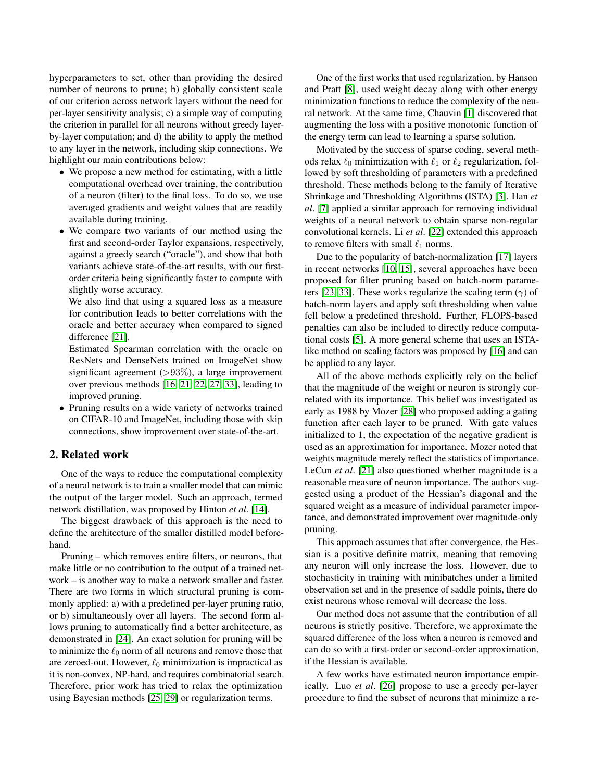hyperparameters to set, other than providing the desired number of neurons to prune; b) globally consistent scale of our criterion across network layers without the need for per-layer sensitivity analysis; c) a simple way of computing the criterion in parallel for all neurons without greedy layerby-layer computation; and d) the ability to apply the method to any layer in the network, including skip connections. We highlight our main contributions below:

- We propose a new method for estimating, with a little computational overhead over training, the contribution of a neuron (filter) to the final loss. To do so, we use averaged gradients and weight values that are readily available during training.
- We compare two variants of our method using the first and second-order Taylor expansions, respectively, against a greedy search ("oracle"), and show that both variants achieve state-of-the-art results, with our firstorder criteria being significantly faster to compute with slightly worse accuracy.

We also find that using a squared loss as a measure for contribution leads to better correlations with the oracle and better accuracy when compared to signed difference [\[21\]](#page-8-12).

Estimated Spearman correlation with the oracle on ResNets and DenseNets trained on ImageNet show significant agreement  $(>93\%)$ , a large improvement over previous methods [\[16,](#page-8-14) [21,](#page-8-12) [22,](#page-8-8) [27,](#page-8-13) [33\]](#page-8-9), leading to improved pruning.

• Pruning results on a wide variety of networks trained on CIFAR-10 and ImageNet, including those with skip connections, show improvement over state-of-the-art.

# 2. Related work

One of the ways to reduce the computational complexity of a neural network is to train a smaller model that can mimic the output of the larger model. Such an approach, termed network distillation, was proposed by Hinton *et al*. [\[14\]](#page-8-15).

The biggest drawback of this approach is the need to define the architecture of the smaller distilled model beforehand.

Pruning – which removes entire filters, or neurons, that make little or no contribution to the output of a trained network – is another way to make a network smaller and faster. There are two forms in which structural pruning is commonly applied: a) with a predefined per-layer pruning ratio, or b) simultaneously over all layers. The second form allows pruning to automatically find a better architecture, as demonstrated in [\[24\]](#page-8-16). An exact solution for pruning will be to minimize the  $\ell_0$  norm of all neurons and remove those that are zeroed-out. However,  $\ell_0$  minimization is impractical as it is non-convex, NP-hard, and requires combinatorial search. Therefore, prior work has tried to relax the optimization using Bayesian methods [\[25,](#page-8-17) [29\]](#page-8-18) or regularization terms.

One of the first works that used regularization, by Hanson and Pratt [\[8\]](#page-8-19), used weight decay along with other energy minimization functions to reduce the complexity of the neural network. At the same time, Chauvin [\[1\]](#page-8-11) discovered that augmenting the loss with a positive monotonic function of the energy term can lead to learning a sparse solution.

Motivated by the success of sparse coding, several methods relax  $\ell_0$  minimization with  $\ell_1$  or  $\ell_2$  regularization, followed by soft thresholding of parameters with a predefined threshold. These methods belong to the family of Iterative Shrinkage and Thresholding Algorithms (ISTA) [\[3\]](#page-8-20). Han *et al*. [\[7\]](#page-8-21) applied a similar approach for removing individual weights of a neural network to obtain sparse non-regular convolutional kernels. Li *et al*. [\[22\]](#page-8-8) extended this approach to remove filters with small  $\ell_1$  norms.

Due to the popularity of batch-normalization [\[17\]](#page-8-22) layers in recent networks [\[10,](#page-8-1) [15\]](#page-8-23), several approaches have been proposed for filter pruning based on batch-norm parame-ters [\[23,](#page-8-24) [33\]](#page-8-9). These works regularize the scaling term  $(\gamma)$  of batch-norm layers and apply soft thresholding when value fell below a predefined threshold. Further, FLOPS-based penalties can also be included to directly reduce computational costs [\[5\]](#page-8-25). A more general scheme that uses an ISTAlike method on scaling factors was proposed by [\[16\]](#page-8-14) and can be applied to any layer.

All of the above methods explicitly rely on the belief that the magnitude of the weight or neuron is strongly correlated with its importance. This belief was investigated as early as 1988 by Mozer [\[28\]](#page-8-26) who proposed adding a gating function after each layer to be pruned. With gate values initialized to 1, the expectation of the negative gradient is used as an approximation for importance. Mozer noted that weights magnitude merely reflect the statistics of importance. LeCun *et al*. [\[21\]](#page-8-12) also questioned whether magnitude is a reasonable measure of neuron importance. The authors suggested using a product of the Hessian's diagonal and the squared weight as a measure of individual parameter importance, and demonstrated improvement over magnitude-only pruning.

This approach assumes that after convergence, the Hessian is a positive definite matrix, meaning that removing any neuron will only increase the loss. However, due to stochasticity in training with minibatches under a limited observation set and in the presence of saddle points, there do exist neurons whose removal will decrease the loss.

Our method does not assume that the contribution of all neurons is strictly positive. Therefore, we approximate the squared difference of the loss when a neuron is removed and can do so with a first-order or second-order approximation, if the Hessian is available.

A few works have estimated neuron importance empirically. Luo *et al*. [\[26\]](#page-8-5) propose to use a greedy per-layer procedure to find the subset of neurons that minimize a re-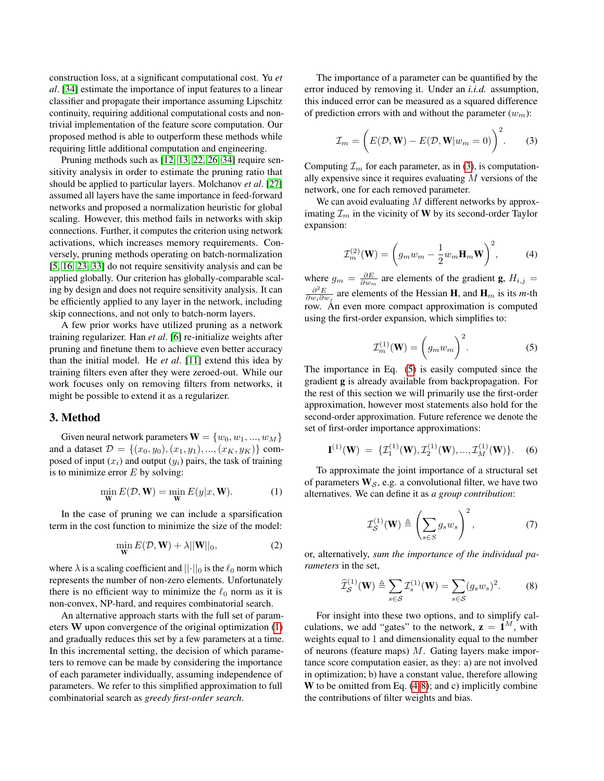construction loss, at a significant computational cost. Yu *et al*. [\[34\]](#page-8-6) estimate the importance of input features to a linear classifier and propagate their importance assuming Lipschitz continuity, requiring additional computational costs and nontrivial implementation of the feature score computation. Our proposed method is able to outperform these methods while requiring little additional computation and engineering.

Pruning methods such as [\[12,](#page-8-10) [13,](#page-8-27) [22,](#page-8-8) [26,](#page-8-5) [34\]](#page-8-6) require sensitivity analysis in order to estimate the pruning ratio that should be applied to particular layers. Molchanov *et al*. [\[27\]](#page-8-13) assumed all layers have the same importance in feed-forward networks and proposed a normalization heuristic for global scaling. However, this method fails in networks with skip connections. Further, it computes the criterion using network activations, which increases memory requirements. Conversely, pruning methods operating on batch-normalization [\[5,](#page-8-25) [16,](#page-8-14) [23,](#page-8-24) [33\]](#page-8-9) do not require sensitivity analysis and can be applied globally. Our criterion has globally-comparable scaling by design and does not require sensitivity analysis. It can be efficiently applied to any layer in the network, including skip connections, and not only to batch-norm layers.

A few prior works have utilized pruning as a network training regularizer. Han *et al*. [\[6\]](#page-8-28) re-initialize weights after pruning and finetune them to achieve even better accuracy than the initial model. He *et al*. [\[11\]](#page-8-29) extend this idea by training filters even after they were zeroed-out. While our work focuses only on removing filters from networks, it might be possible to extend it as a regularizer.

### 3. Method

Given neural network parameters  $\mathbf{W} = \{w_0, w_1, ..., w_M\}$ and a dataset  $\mathcal{D} = \{(x_0, y_0), (x_1, y_1), ..., (x_K, y_K)\}\;$  composed of input  $(x_i)$  and output  $(y_i)$  pairs, the task of training is to minimize error  $E$  by solving:

<span id="page-2-0"></span>
$$
\min_{\mathbf{W}} E(\mathcal{D}, \mathbf{W}) = \min_{\mathbf{W}} E(y|x, \mathbf{W}).
$$
 (1)

In the case of pruning we can include a sparsification term in the cost function to minimize the size of the model:

$$
\min_{\mathbf{W}} E(\mathcal{D}, \mathbf{W}) + \lambda ||\mathbf{W}||_0,
$$
\n(2)

where  $\lambda$  is a scaling coefficient and  $||\cdot||_0$  is the  $\ell_0$  norm which represents the number of non-zero elements. Unfortunately there is no efficient way to minimize the  $\ell_0$  norm as it is non-convex, NP-hard, and requires combinatorial search.

An alternative approach starts with the full set of parameters W upon convergence of the original optimization [\(1\)](#page-2-0) and gradually reduces this set by a few parameters at a time. In this incremental setting, the decision of which parameters to remove can be made by considering the importance of each parameter individually, assuming independence of parameters. We refer to this simplified approximation to full combinatorial search as *greedy first-order search*.

The importance of a parameter can be quantified by the error induced by removing it. Under an *i.i.d.* assumption, this induced error can be measured as a squared difference of prediction errors with and without the parameter  $(w_m)$ :

<span id="page-2-1"></span>
$$
\mathcal{I}_m = \left( E(\mathcal{D}, \mathbf{W}) - E(\mathcal{D}, \mathbf{W}|w_m = 0) \right)^2.
$$
 (3)

Computing  $\mathcal{I}_m$  for each parameter, as in [\(3\)](#page-2-1), is computationally expensive since it requires evaluating  $M$  versions of the network, one for each removed parameter.

We can avoid evaluating M different networks by approximating  $\mathcal{I}_m$  in the vicinity of W by its second-order Taylor expansion:

<span id="page-2-3"></span>
$$
\mathcal{I}_m^{(2)}(\mathbf{W}) = \left(g_m w_m - \frac{1}{2} w_m \mathbf{H}_m \mathbf{W}\right)^2, \tag{4}
$$

where  $g_m = \frac{\partial E}{\partial w_m}$  are elements of the gradient **g**,  $H_{i,j}$  =  $\frac{\partial^2 E}{\partial w_i \partial w_j}$  are elements of the Hessian **H**, and **H**<sub>m</sub> is its *m*-th row. An even more compact approximation is computed using the first-order expansion, which simplifies to:

<span id="page-2-2"></span>
$$
\mathcal{I}_m^{(1)}(\mathbf{W}) = \left(g_m w_m\right)^2.
$$
 (5)

The importance in Eq. [\(5\)](#page-2-2) is easily computed since the gradient g is already available from backpropagation. For the rest of this section we will primarily use the first-order approximation, however most statements also hold for the second-order approximation. Future reference we denote the set of first-order importance approximations:

$$
\mathbf{I}^{(1)}(\mathbf{W}) = \{ \mathcal{I}_1^{(1)}(\mathbf{W}), \mathcal{I}_2^{(1)}(\mathbf{W}), ..., \mathcal{I}_M^{(1)}(\mathbf{W}) \}. \quad (6)
$$

To approximate the joint importance of a structural set of parameters  $W_{\mathcal{S}}$ , e.g. a convolutional filter, we have two alternatives. We can define it as *a group contribution*:

<span id="page-2-5"></span>
$$
\mathcal{I}_{\mathcal{S}}^{(1)}(\mathbf{W}) \triangleq \left(\sum_{s \in S} g_s w_s\right)^2, \tag{7}
$$

or, alternatively, *sum the importance of the individual parameters* in the set,

<span id="page-2-4"></span>
$$
\widehat{\mathcal{I}}_{\mathcal{S}}^{(1)}(\mathbf{W}) \triangleq \sum_{s \in \mathcal{S}} \mathcal{I}_s^{(1)}(\mathbf{W}) = \sum_{s \in \mathcal{S}} (g_s w_s)^2.
$$
 (8)

For insight into these two options, and to simplify calculations, we add "gates" to the network,  $z = 1^M$ , with weights equal to 1 and dimensionality equal to the number of neurons (feature maps)  $M$ . Gating layers make importance score computation easier, as they: a) are not involved in optimization; b) have a constant value, therefore allowing W to be omitted from Eq. [\(4-](#page-2-3)[8\)](#page-2-4); and c) implicitly combine the contributions of filter weights and bias.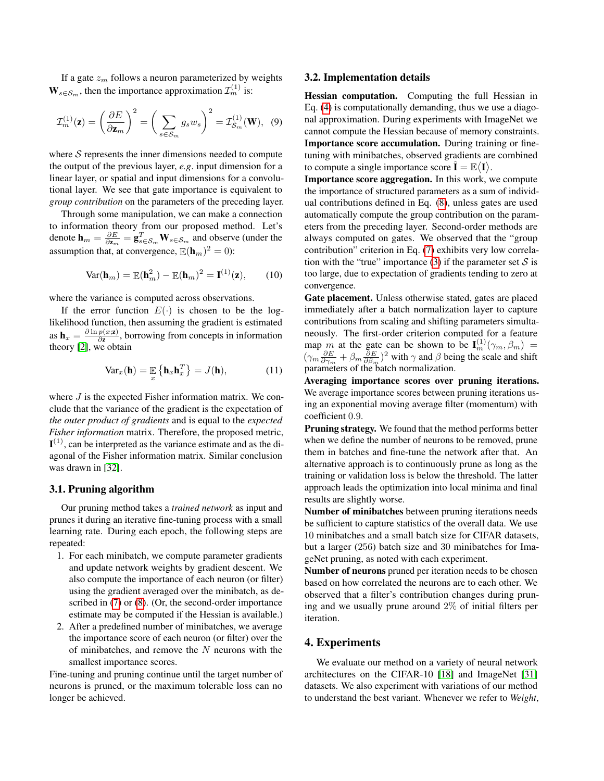If a gate  $z_m$  follows a neuron parameterized by weights  $\mathbf{W}_{s \in \mathcal{S}_m}$ , then the importance approximation  $\mathcal{I}_m^{(1)}$  is:

$$
\mathcal{I}_m^{(1)}(\mathbf{z}) = \left(\frac{\partial E}{\partial \mathbf{z}_m}\right)^2 = \left(\sum_{s \in \mathcal{S}_m} g_s w_s\right)^2 = \mathcal{I}_{\mathcal{S}_m}^{(1)}(\mathbf{W}), \tag{9}
$$

where  $S$  represents the inner dimensions needed to compute the output of the previous layer, *e.g*. input dimension for a linear layer, or spatial and input dimensions for a convolutional layer. We see that gate importance is equivalent to *group contribution* on the parameters of the preceding layer.

Through some manipulation, we can make a connection to information theory from our proposed method. Let's denote  $\mathbf{h}_m = \frac{\partial E}{\partial \mathbf{z}_m} = \mathbf{g}_{s \in \mathcal{S}_m}^T \mathbf{W}_{s \in \mathcal{S}_m}$  and observe (under the assumption that, at convergence,  $\mathbb{E}(\mathbf{h}_m)^2 = 0$ :

$$
\text{Var}(\mathbf{h}_m) = \mathbb{E}(\mathbf{h}_m^2) - \mathbb{E}(\mathbf{h}_m)^2 = \mathbf{I}^{(1)}(\mathbf{z}),\qquad(10)
$$

where the variance is computed across observations.

If the error function  $E(\cdot)$  is chosen to be the loglikelihood function, then assuming the gradient is estimated as  $\mathbf{h}_x = \frac{\partial \ln p(x;\mathbf{z})}{\partial \mathbf{z}}$  $\frac{p(x; z)}{\partial z}$ , borrowing from concepts in information theory [\[2\]](#page-8-30), we obtain

$$
\text{Var}_x(\mathbf{h}) = \mathbb{E}_x \left\{ \mathbf{h}_x \mathbf{h}_x^T \right\} = J(\mathbf{h}), \tag{11}
$$

where *J* is the expected Fisher information matrix. We conclude that the variance of the gradient is the expectation of *the outer product of gradients* and is equal to the *expected Fisher information* matrix. Therefore, the proposed metric,  ${\bf I}^{(1)}$ , can be interpreted as the variance estimate and as the diagonal of the Fisher information matrix. Similar conclusion was drawn in [\[32\]](#page-8-31).

### 3.1. Pruning algorithm

Our pruning method takes a *trained network* as input and prunes it during an iterative fine-tuning process with a small learning rate. During each epoch, the following steps are repeated:

- 1. For each minibatch, we compute parameter gradients and update network weights by gradient descent. We also compute the importance of each neuron (or filter) using the gradient averaged over the minibatch, as de-scribed in [\(7\)](#page-2-5) or [\(8\)](#page-2-4). (Or, the second-order importance estimate may be computed if the Hessian is available.)
- 2. After a predefined number of minibatches, we average the importance score of each neuron (or filter) over the of minibatches, and remove the  $N$  neurons with the smallest importance scores.

Fine-tuning and pruning continue until the target number of neurons is pruned, or the maximum tolerable loss can no longer be achieved.

#### 3.2. Implementation details

Hessian computation. Computing the full Hessian in Eq. [\(4\)](#page-2-3) is computationally demanding, thus we use a diagonal approximation. During experiments with ImageNet we cannot compute the Hessian because of memory constraints. Importance score accumulation. During training or finetuning with minibatches, observed gradients are combined to compute a single importance score  $\hat{\mathbf{I}} = \mathbb{E}\langle \mathbf{I} \rangle$ .

Importance score aggregation. In this work, we compute the importance of structured parameters as a sum of individual contributions defined in Eq. [\(8\)](#page-2-4), unless gates are used automatically compute the group contribution on the parameters from the preceding layer. Second-order methods are always computed on gates. We observed that the "group contribution" criterion in Eq. [\(7\)](#page-2-5) exhibits very low correla-tion with the "true" importance [\(3\)](#page-2-1) if the parameter set  $S$  is too large, due to expectation of gradients tending to zero at convergence.

Gate placement. Unless otherwise stated, gates are placed immediately after a batch normalization layer to capture contributions from scaling and shifting parameters simultaneously. The first-order criterion computed for a feature map m at the gate can be shown to be  $I_m^{(1)}(\gamma_m, \beta_m)$  =  $(\gamma_m \frac{\partial E}{\partial \gamma_m} + \beta_m \frac{\partial E}{\partial \beta_m})^2$  with  $\gamma$  and  $\beta$  being the scale and shift parameters of the batch normalization.

Averaging importance scores over pruning iterations. We average importance scores between pruning iterations using an exponential moving average filter (momentum) with coefficient 0.9.

Pruning strategy. We found that the method performs better when we define the number of neurons to be removed, prune them in batches and fine-tune the network after that. An alternative approach is to continuously prune as long as the training or validation loss is below the threshold. The latter approach leads the optimization into local minima and final results are slightly worse.

Number of minibatches between pruning iterations needs be sufficient to capture statistics of the overall data. We use 10 minibatches and a small batch size for CIFAR datasets, but a larger (256) batch size and 30 minibatches for ImageNet pruning, as noted with each experiment.

Number of neurons pruned per iteration needs to be chosen based on how correlated the neurons are to each other. We observed that a filter's contribution changes during pruning and we usually prune around 2% of initial filters per iteration.

# 4. Experiments

We evaluate our method on a variety of neural network architectures on the CIFAR-10 [\[18\]](#page-8-32) and ImageNet [\[31\]](#page-8-2) datasets. We also experiment with variations of our method to understand the best variant. Whenever we refer to *Weight*,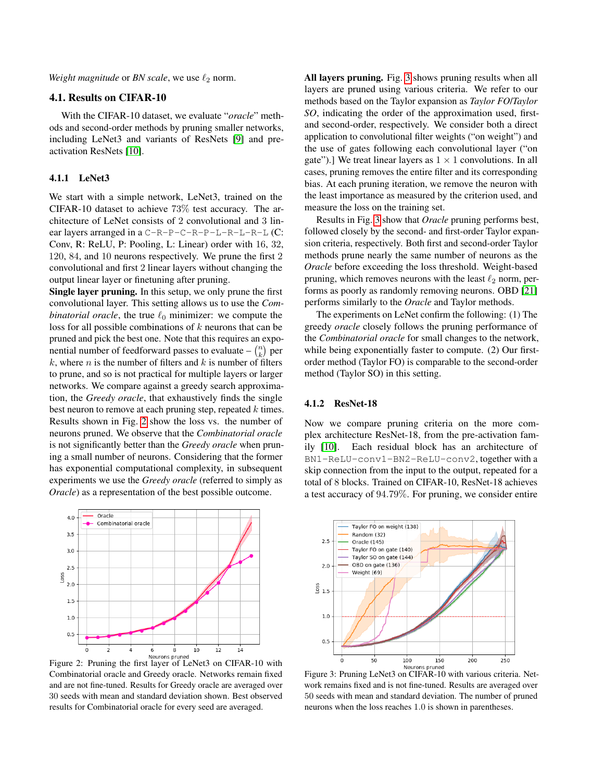*Weight magnitude* or *BN scale*, we use  $\ell_2$  norm.

# 4.1. Results on CIFAR-10

With the CIFAR-10 dataset, we evaluate "*oracle*" methods and second-order methods by pruning smaller networks, including LeNet3 and variants of ResNets [\[9\]](#page-8-33) and preactivation ResNets [\[10\]](#page-8-1).

# 4.1.1 LeNet3

We start with a simple network, LeNet3, trained on the CIFAR-10 dataset to achieve 73% test accuracy. The architecture of LeNet consists of 2 convolutional and 3 linear layers arranged in a C-R-P-C-R-P-L-R-L-R-L (C: Conv, R: ReLU, P: Pooling, L: Linear) order with 16, 32, 120, 84, and 10 neurons respectively. We prune the first 2 convolutional and first 2 linear layers without changing the output linear layer or finetuning after pruning.

Single layer pruning. In this setup, we only prune the first convolutional layer. This setting allows us to use the *Combinatorial oracle*, the true  $\ell_0$  minimizer: we compute the loss for all possible combinations of  $k$  neurons that can be pruned and pick the best one. Note that this requires an exponential number of feedforward passes to evaluate  $- {n \choose k}$  per  $k$ , where  $n$  is the number of filters and  $k$  is number of filters to prune, and so is not practical for multiple layers or larger networks. We compare against a greedy search approximation, the *Greedy oracle*, that exhaustively finds the single best neuron to remove at each pruning step, repeated  $k$  times. Results shown in Fig. [2](#page-4-0) show the loss vs. the number of neurons pruned. We observe that the *Combinatorial oracle* is not significantly better than the *Greedy oracle* when pruning a small number of neurons. Considering that the former has exponential computational complexity, in subsequent experiments we use the *Greedy oracle* (referred to simply as *Oracle*) as a representation of the best possible outcome.

<span id="page-4-0"></span>

Figure 2: Pruning the first layer of LeNet3 on CIFAR-10 with Combinatorial oracle and Greedy oracle. Networks remain fixed and are not fine-tuned. Results for Greedy oracle are averaged over 30 seeds with mean and standard deviation shown. Best observed results for Combinatorial oracle for every seed are averaged.

All layers pruning. Fig. [3](#page-4-1) shows pruning results when all layers are pruned using various criteria. We refer to our methods based on the Taylor expansion as *Taylor FO*/*Taylor SO*, indicating the order of the approximation used, firstand second-order, respectively. We consider both a direct application to convolutional filter weights ("on weight") and the use of gates following each convolutional layer ("on gate").] We treat linear layers as  $1 \times 1$  convolutions. In all cases, pruning removes the entire filter and its corresponding bias. At each pruning iteration, we remove the neuron with the least importance as measured by the criterion used, and measure the loss on the training set.

Results in Fig. [3](#page-4-1) show that *Oracle* pruning performs best, followed closely by the second- and first-order Taylor expansion criteria, respectively. Both first and second-order Taylor methods prune nearly the same number of neurons as the *Oracle* before exceeding the loss threshold. Weight-based pruning, which removes neurons with the least  $\ell_2$  norm, performs as poorly as randomly removing neurons. OBD [\[21\]](#page-8-12) performs similarly to the *Oracle* and Taylor methods.

The experiments on LeNet confirm the following: (1) The greedy *oracle* closely follows the pruning performance of the *Combinatorial oracle* for small changes to the network, while being exponentially faster to compute. (2) Our firstorder method (Taylor FO) is comparable to the second-order method (Taylor SO) in this setting.

#### 4.1.2 ResNet-18

Now we compare pruning criteria on the more complex architecture ResNet-18, from the pre-activation family [\[10\]](#page-8-1). Each residual block has an architecture of BN1-ReLU-conv1-BN2-ReLU-conv2, together with a skip connection from the input to the output, repeated for a total of 8 blocks. Trained on CIFAR-10, ResNet-18 achieves a test accuracy of 94.79%. For pruning, we consider entire

<span id="page-4-1"></span>

Figure 3: Pruning LeNet3 on CIFAR-10 with various criteria. Network remains fixed and is not fine-tuned. Results are averaged over 50 seeds with mean and standard deviation. The number of pruned neurons when the loss reaches 1.0 is shown in parentheses.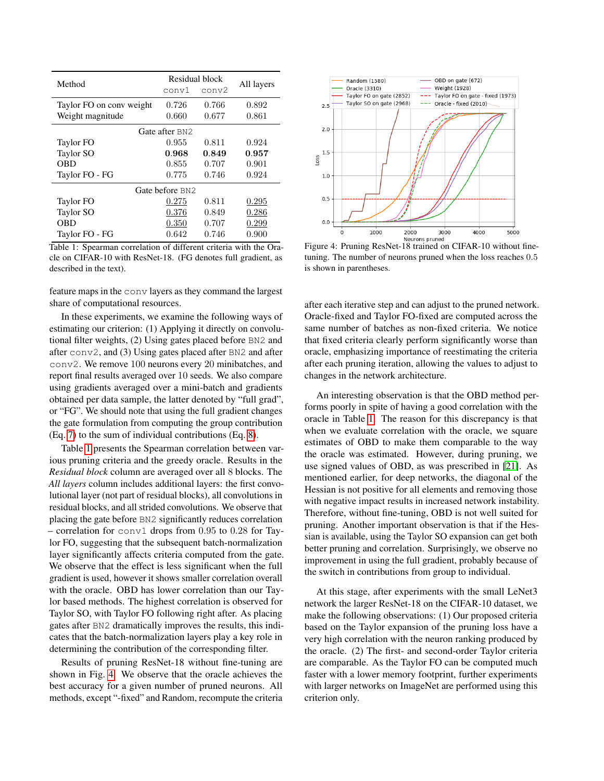<span id="page-5-0"></span>

| Method                   | conv1           | Residual block<br>conv2 | All layers |  |
|--------------------------|-----------------|-------------------------|------------|--|
| Taylor FO on conv weight | 0.726           | 0.766                   | 0.892      |  |
| Weight magnitude         | 0.660           | 0.677                   | 0.861      |  |
|                          | Gate after BN2  |                         |            |  |
| Taylor FO                | 0.955           | 0.811                   | 0.924      |  |
| Taylor SO                | 0.968           | 0.849                   | 0.957      |  |
| <b>OBD</b>               | 0.855           | 0.707                   | 0.901      |  |
| Taylor FO - FG           | 0.775           | 0.746                   | 0.924      |  |
|                          | Gate before BN2 |                         |            |  |
| Taylor FO                | 0.275           | 0.811                   | 0.295      |  |
| Taylor SO                | 0.376           | 0.849                   | 0.286      |  |
| <b>OBD</b>               | 0.350           | 0.707                   | 0.299      |  |
| Taylor FO - FG           | 0.642           | 0.746                   | 0.900      |  |

Table 1: Spearman correlation of different criteria with the Oracle on CIFAR-10 with ResNet-18. (FG denotes full gradient, as described in the text).

feature maps in the conv layers as they command the largest share of computational resources.

In these experiments, we examine the following ways of estimating our criterion: (1) Applying it directly on convolutional filter weights, (2) Using gates placed before BN2 and after conv2, and (3) Using gates placed after BN2 and after conv2. We remove 100 neurons every 20 minibatches, and report final results averaged over 10 seeds. We also compare using gradients averaged over a mini-batch and gradients obtained per data sample, the latter denoted by "full grad", or "FG". We should note that using the full gradient changes the gate formulation from computing the group contribution (Eq. [7\)](#page-2-5) to the sum of individual contributions (Eq. [8\)](#page-2-4).

Table [1](#page-5-0) presents the Spearman correlation between various pruning criteria and the greedy oracle. Results in the *Residual block* column are averaged over all 8 blocks. The *All layers* column includes additional layers: the first convolutional layer (not part of residual blocks), all convolutions in residual blocks, and all strided convolutions. We observe that placing the gate before BN2 significantly reduces correlation – correlation for  $conv1$  drops from 0.95 to 0.28 for Taylor FO, suggesting that the subsequent batch-normalization layer significantly affects criteria computed from the gate. We observe that the effect is less significant when the full gradient is used, however it shows smaller correlation overall with the oracle. OBD has lower correlation than our Taylor based methods. The highest correlation is observed for Taylor SO, with Taylor FO following right after. As placing gates after BN2 dramatically improves the results, this indicates that the batch-normalization layers play a key role in determining the contribution of the corresponding filter.

Results of pruning ResNet-18 without fine-tuning are shown in Fig. [4.](#page-5-1) We observe that the oracle achieves the best accuracy for a given number of pruned neurons. All methods, except "-fixed" and Random, recompute the criteria

<span id="page-5-1"></span>

Neurons pruned<br>Figure 4: Pruning ResNet-18 trained on CIFAR-10 without finetuning. The number of neurons pruned when the loss reaches 0.5 is shown in parentheses.

after each iterative step and can adjust to the pruned network. Oracle-fixed and Taylor FO-fixed are computed across the same number of batches as non-fixed criteria. We notice that fixed criteria clearly perform significantly worse than oracle, emphasizing importance of reestimating the criteria after each pruning iteration, allowing the values to adjust to changes in the network architecture.

An interesting observation is that the OBD method performs poorly in spite of having a good correlation with the oracle in Table [1.](#page-5-0) The reason for this discrepancy is that when we evaluate correlation with the oracle, we square estimates of OBD to make them comparable to the way the oracle was estimated. However, during pruning, we use signed values of OBD, as was prescribed in [\[21\]](#page-8-12). As mentioned earlier, for deep networks, the diagonal of the Hessian is not positive for all elements and removing those with negative impact results in increased network instability. Therefore, without fine-tuning, OBD is not well suited for pruning. Another important observation is that if the Hessian is available, using the Taylor SO expansion can get both better pruning and correlation. Surprisingly, we observe no improvement in using the full gradient, probably because of the switch in contributions from group to individual.

At this stage, after experiments with the small LeNet3 network the larger ResNet-18 on the CIFAR-10 dataset, we make the following observations: (1) Our proposed criteria based on the Taylor expansion of the pruning loss have a very high correlation with the neuron ranking produced by the oracle. (2) The first- and second-order Taylor criteria are comparable. As the Taylor FO can be computed much faster with a lower memory footprint, further experiments with larger networks on ImageNet are performed using this criterion only.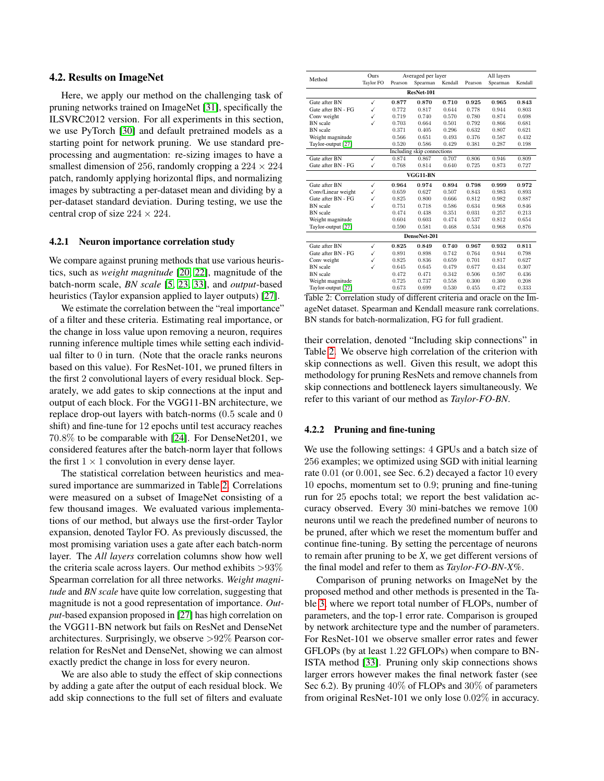### 4.2. Results on ImageNet

Here, we apply our method on the challenging task of pruning networks trained on ImageNet [\[31\]](#page-8-2), specifically the ILSVRC2012 version. For all experiments in this section, we use PyTorch [\[30\]](#page-8-34) and default pretrained models as a starting point for network pruning. We use standard preprocessing and augmentation: re-sizing images to have a smallest dimension of 256, randomly cropping a  $224 \times 224$ patch, randomly applying horizontal flips, and normalizing images by subtracting a per-dataset mean and dividing by a per-dataset standard deviation. During testing, we use the central crop of size  $224 \times 224$ .

#### 4.2.1 Neuron importance correlation study

We compare against pruning methods that use various heuristics, such as *weight magnitude* [\[20,](#page-8-7) [22\]](#page-8-8), magnitude of the batch-norm scale, *BN scale* [\[5,](#page-8-25) [23,](#page-8-24) [33\]](#page-8-9), and *output*-based heuristics (Taylor expansion applied to layer outputs) [\[27\]](#page-8-13).

We estimate the correlation between the "real importance" of a filter and these criteria. Estimating real importance, or the change in loss value upon removing a neuron, requires running inference multiple times while setting each individual filter to 0 in turn. (Note that the oracle ranks neurons based on this value). For ResNet-101, we pruned filters in the first 2 convolutional layers of every residual block. Separately, we add gates to skip connections at the input and output of each block. For the VGG11-BN architecture, we replace drop-out layers with batch-norms (0.5 scale and 0 shift) and fine-tune for 12 epochs until test accuracy reaches 70.8% to be comparable with [\[24\]](#page-8-16). For DenseNet201, we considered features after the batch-norm layer that follows the first  $1 \times 1$  convolution in every dense layer.

The statistical correlation between heuristics and measured importance are summarized in Table [2.](#page-6-0) Correlations were measured on a subset of ImageNet consisting of a few thousand images. We evaluated various implementations of our method, but always use the first-order Taylor expansion, denoted Taylor FO. As previously discussed, the most promising variation uses a gate after each batch-norm layer. The *All layers* correlation columns show how well the criteria scale across layers. Our method exhibits  $>93\%$ Spearman correlation for all three networks. *Weight magnitude* and *BN scale* have quite low correlation, suggesting that magnitude is not a good representation of importance. *Output*-based expansion proposed in [\[27\]](#page-8-13) has high correlation on the VGG11-BN network but fails on ResNet and DenseNet architectures. Surprisingly, we observe >92% Pearson correlation for ResNet and DenseNet, showing we can almost exactly predict the change in loss for every neuron.

We are also able to study the effect of skip connections by adding a gate after the output of each residual block. We add skip connections to the full set of filters and evaluate

<span id="page-6-0"></span>

| Method             | <b>Ours</b>      | Averaged per layer |                            |         | All layers |          |         |  |  |
|--------------------|------------------|--------------------|----------------------------|---------|------------|----------|---------|--|--|
|                    | <b>Taylor FO</b> | Pearson            | Spearman                   | Kendall | Pearson    | Spearman | Kendall |  |  |
| ResNet-101         |                  |                    |                            |         |            |          |         |  |  |
| Gate after BN      | ✓                | 0.877              | 0.870                      | 0.710   | 0.925      | 0.965    | 0.843   |  |  |
| Gate after BN - FG | ✓                | 0.772              | 0.817                      | 0.644   | 0.778      | 0.944    | 0.803   |  |  |
| Conv weight        | ✓                | 0.719              | 0.740                      | 0.570   | 0.780      | 0.874    | 0.698   |  |  |
| <b>BN</b> scale    | ✓                | 0.703              | 0.664                      | 0.501   | 0.792      | 0.866    | 0.681   |  |  |
| <b>BN</b> scale    |                  | 0.371              | 0.405                      | 0.296   | 0.632      | 0.807    | 0.621   |  |  |
| Weight magnitude   |                  | 0.566              | 0.651                      | 0.493   | 0.376      | 0.587    | 0.432   |  |  |
| Taylor-output [27] |                  | 0.520              | 0.586                      | 0.429   | 0.381      | 0.287    | 0.198   |  |  |
|                    |                  |                    | Including skip connections |         |            |          |         |  |  |
| Gate after BN      | ✓                | 0.874              | 0.867                      | 0.707   | 0.806      | 0.946    | 0.809   |  |  |
| Gate after BN - FG | $\checkmark$     | 0.768              | 0.814                      | 0.640   | 0.725      | 0.873    | 0.727   |  |  |
|                    |                  |                    | VGG11-BN                   |         |            |          |         |  |  |
| Gate after BN      | ✓                | 0.964              | 0.974                      | 0.894   | 0.798      | 0.999    | 0.972   |  |  |
| Conv/Linear weight | ✓                | 0.659              | 0.627                      | 0.507   | 0.843      | 0.983    | 0.893   |  |  |
| Gate after BN - FG | ✓                | 0.825              | 0.800                      | 0.666   | 0.812      | 0.982    | 0.887   |  |  |
| <b>BN</b> scale    | ✓                | 0.751              | 0.718                      | 0.586   | 0.634      | 0.968    | 0.846   |  |  |
| <b>BN</b> scale    |                  | 0.474              | 0.438                      | 0.351   | 0.031      | 0.257    | 0.213   |  |  |
| Weight magnitude   |                  | 0.604              | 0.603                      | 0.474   | 0.537      | 0.812    | 0.654   |  |  |
| Taylor-output [27] |                  | 0.590              | 0.581                      | 0.468   | 0.534      | 0.968    | 0.876   |  |  |
| DenseNet-201       |                  |                    |                            |         |            |          |         |  |  |
| Gate after BN      | ✓                | 0.825              | 0.849                      | 0.740   | 0.967      | 0.932    | 0.811   |  |  |
| Gate after BN - FG | ✓                | 0.891              | 0.898                      | 0.742   | 0.764      | 0.944    | 0.798   |  |  |
| Conv weight        | ✓                | 0.825              | 0.836                      | 0.659   | 0.701      | 0.817    | 0.627   |  |  |
| <b>BN</b> scale    | ✓                | 0.645              | 0.645                      | 0.479   | 0.677      | 0.434    | 0.307   |  |  |
| <b>BN</b> scale    |                  | 0.472              | 0.471                      | 0.342   | 0.506      | 0.597    | 0.436   |  |  |
| Weight magnitude   |                  | 0.725              | 0.737                      | 0.558   | 0.300      | 0.300    | 0.208   |  |  |
| Taylor-output [27] |                  | 0.673              | 0.699                      | 0.530   | 0.455      | 0.472    | 0.333   |  |  |

Table 2: Correlation study of different criteria and oracle on the ImageNet dataset. Spearman and Kendall measure rank correlations. BN stands for batch-normalization, FG for full gradient.

their correlation, denoted "Including skip connections" in Table [2.](#page-6-0) We observe high correlation of the criterion with skip connections as well. Given this result, we adopt this methodology for pruning ResNets and remove channels from skip connections and bottleneck layers simultaneously. We refer to this variant of our method as *Taylor-FO-BN*.

### 4.2.2 Pruning and fine-tuning

We use the following settings: 4 GPUs and a batch size of 256 examples; we optimized using SGD with initial learning rate 0.01 (or 0.001, see Sec. 6.2) decayed a factor 10 every 10 epochs, momentum set to 0.9; pruning and fine-tuning run for 25 epochs total; we report the best validation accuracy observed. Every 30 mini-batches we remove 100 neurons until we reach the predefined number of neurons to be pruned, after which we reset the momentum buffer and continue fine-tuning. By setting the percentage of neurons to remain after pruning to be *X*, we get different versions of the final model and refer to them as *Taylor-FO-BN-X*%.

Comparison of pruning networks on ImageNet by the proposed method and other methods is presented in the Table [3,](#page-7-0) where we report total number of FLOPs, number of parameters, and the top-1 error rate. Comparison is grouped by network architecture type and the number of parameters. For ResNet-101 we observe smaller error rates and fewer GFLOPs (by at least 1.22 GFLOPs) when compare to BN-ISTA method [\[33\]](#page-8-9). Pruning only skip connections shows larger errors however makes the final network faster (see Sec 6.2). By pruning 40% of FLOPs and 30% of parameters from original ResNet-101 we only lose 0.02% in accuracy.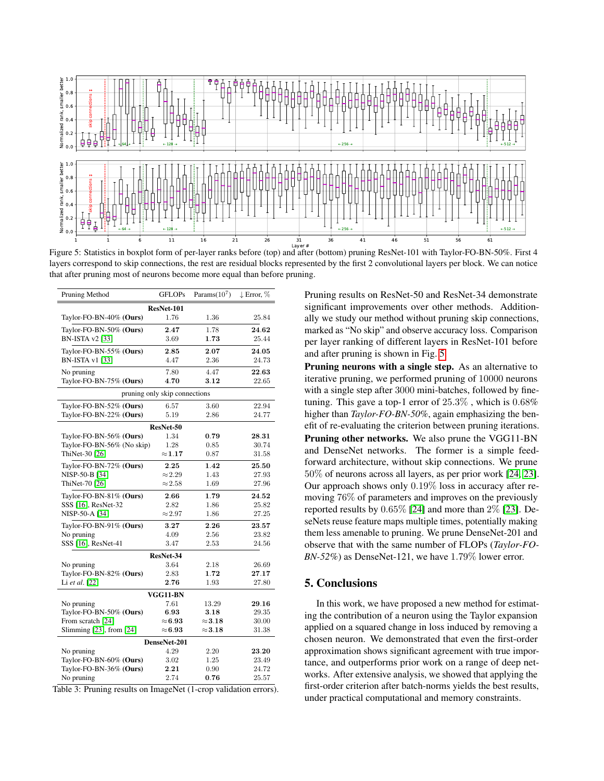<span id="page-7-1"></span>

Figure 5: Statistics in boxplot form of per-layer ranks before (top) and after (bottom) pruning ResNet-101 with Taylor-FO-BN-50%. First 4 layers correspond to skip connections, the rest are residual blocks represented by the first 2 convolutional layers per block. We can notice that after pruning most of neurons become more equal than before pruning.

<span id="page-7-0"></span>

| Pruning Method                | <b>GFLOPs</b>                 | Params $(10^7)$ | $\downarrow$ Error, $\%$ |  |  |  |  |  |
|-------------------------------|-------------------------------|-----------------|--------------------------|--|--|--|--|--|
| ResNet-101                    |                               |                 |                          |  |  |  |  |  |
| Taylor-FO-BN-40% (Ours)       | 1.76                          | 1.36            | 25.84                    |  |  |  |  |  |
| Taylor-FO-BN-50% (Ours)       | 2.47                          | 1.78            | 24.62                    |  |  |  |  |  |
| BN-ISTA v2 [33]               | 3.69                          | 1.73            | 25.44                    |  |  |  |  |  |
| Taylor-FO-BN-55% (Ours)       | 2.85                          | 2.07            | 24.05                    |  |  |  |  |  |
| <b>BN-ISTA v1</b> [33]        | 4.47                          | 2.36            | 24.73                    |  |  |  |  |  |
| No pruning                    | 7.80                          | 4.47            | 22.63                    |  |  |  |  |  |
| Taylor-FO-BN-75% (Ours)       | 4.70                          | 3.12            | 22.65                    |  |  |  |  |  |
|                               | pruning only skip connections |                 |                          |  |  |  |  |  |
| Taylor-FO-BN-52% (Ours)       | 6.57                          | 3.60            | 22.94                    |  |  |  |  |  |
| Taylor-FO-BN-22% (Ours)       | 5.19                          | 2.86            | 24.77                    |  |  |  |  |  |
|                               | ResNet-50                     |                 |                          |  |  |  |  |  |
| Taylor-FO-BN-56% (Ours)       | 1.34                          | 0.79            | 28.31                    |  |  |  |  |  |
| Taylor-FO-BN-56% (No skip)    | 1.28                          | 0.85            | 30.74                    |  |  |  |  |  |
| ThiNet-30 [26]                | $\approx\!1.17$               | 0.87            | 31.58                    |  |  |  |  |  |
| Taylor-FO-BN-72% (Ours)       | 2.25                          | 1.42            | 25.50                    |  |  |  |  |  |
| NISP-50-B [34]                | $\approx$ 2.29                | 1.43            | 27.93                    |  |  |  |  |  |
| ThiNet-70 [26]                | $\approx$ 2.58                | 1.69            | 27.96                    |  |  |  |  |  |
| Taylor-FO-BN-81% (Ours)       | 2.66                          | 1.79            | 24.52                    |  |  |  |  |  |
| SSS [16], ResNet-32           | 2.82                          | 1.86            | 25.82                    |  |  |  |  |  |
| NISP-50-A [34]                | $\approx$ 2.97                | 1.86            | 27.25                    |  |  |  |  |  |
| Taylor-FO-BN-91% $(Ours)$     | 3.27                          | 2.26            | 23.57                    |  |  |  |  |  |
| No pruning                    | 4.09                          | 2.56            | 23.82                    |  |  |  |  |  |
| SSS [16], ResNet-41           | 3.47                          | 2.53            | 24.56                    |  |  |  |  |  |
|                               | ResNet-34                     |                 |                          |  |  |  |  |  |
| No pruning                    | 3.64                          | 2.18            | 26.69                    |  |  |  |  |  |
| Taylor-FO-BN-82% (Ours)       | 2.83                          | 1.72            | 27.17                    |  |  |  |  |  |
| Li et al. [22]                | 2.76                          | 1.93            | 27.80                    |  |  |  |  |  |
| VGG11-BN                      |                               |                 |                          |  |  |  |  |  |
| No pruning                    | 7.61                          | 13.29           | 29.16                    |  |  |  |  |  |
| Taylor-FO-BN-50% (Ours)       | 6.93                          | 3.18            | 29.35                    |  |  |  |  |  |
| From scratch [24]             | $\approx\!6.93$               | $\approx\!3.18$ | 30.00                    |  |  |  |  |  |
| Slimming $[23]$ , from $[24]$ | $\approx\!6.93$               | $\approx\!3.18$ | 31.38                    |  |  |  |  |  |
| DenseNet-201                  |                               |                 |                          |  |  |  |  |  |
| No pruning                    | 4.29                          | 2.20            | 23.20                    |  |  |  |  |  |
| Taylor-FO-BN-60% (Ours)       | 3.02                          | 1.25            | 23.49                    |  |  |  |  |  |
| Taylor-FO-BN-36% (Ours)       | 2.21                          | 0.90            | 24.72                    |  |  |  |  |  |
| No pruning                    | 2.74                          | 0.76            | 25.57                    |  |  |  |  |  |

Table 3: Pruning results on ImageNet (1-crop validation errors).

Pruning results on ResNet-50 and ResNet-34 demonstrate significant improvements over other methods. Additionally we study our method without pruning skip connections, marked as "No skip" and observe accuracy loss. Comparison per layer ranking of different layers in ResNet-101 before and after pruning is shown in Fig. [5.](#page-7-1)

Pruning neurons with a single step. As an alternative to iterative pruning, we performed pruning of 10000 neurons with a single step after 3000 mini-batches, followed by finetuning. This gave a top-1 error of  $25.3\%$ , which is  $0.68\%$ higher than *Taylor-FO-BN-50%*, again emphasizing the benefit of re-evaluating the criterion between pruning iterations. Pruning other networks. We also prune the VGG11-BN and DenseNet networks. The former is a simple feedforward architecture, without skip connections. We prune 50% of neurons across all layers, as per prior work [\[24,](#page-8-16) [23\]](#page-8-24). Our approach shows only 0.19% loss in accuracy after removing 76% of parameters and improves on the previously reported results by 0.65% [\[24\]](#page-8-16) and more than 2% [\[23\]](#page-8-24). DeseNets reuse feature maps multiple times, potentially making them less amenable to pruning. We prune DenseNet-201 and observe that with the same number of FLOPs (*Taylor-FO-BN-52%*) as DenseNet-121, we have 1.79% lower error.

## 5. Conclusions

In this work, we have proposed a new method for estimating the contribution of a neuron using the Taylor expansion applied on a squared change in loss induced by removing a chosen neuron. We demonstrated that even the first-order approximation shows significant agreement with true importance, and outperforms prior work on a range of deep networks. After extensive analysis, we showed that applying the first-order criterion after batch-norms yields the best results, under practical computational and memory constraints.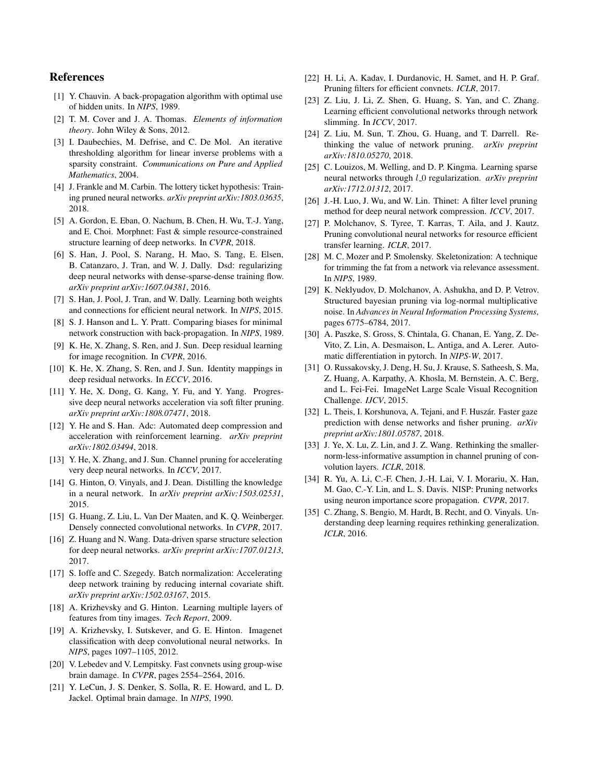# References

- <span id="page-8-11"></span>[1] Y. Chauvin. A back-propagation algorithm with optimal use of hidden units. In *NIPS*, 1989.
- <span id="page-8-30"></span>[2] T. M. Cover and J. A. Thomas. *Elements of information theory*. John Wiley & Sons, 2012.
- <span id="page-8-20"></span>[3] I. Daubechies, M. Defrise, and C. De Mol. An iterative thresholding algorithm for linear inverse problems with a sparsity constraint. *Communications on Pure and Applied Mathematics*, 2004.
- <span id="page-8-3"></span>[4] J. Frankle and M. Carbin. The lottery ticket hypothesis: Training pruned neural networks. *arXiv preprint arXiv:1803.03635*, 2018.
- <span id="page-8-25"></span>[5] A. Gordon, E. Eban, O. Nachum, B. Chen, H. Wu, T.-J. Yang, and E. Choi. Morphnet: Fast & simple resource-constrained structure learning of deep networks. In *CVPR*, 2018.
- <span id="page-8-28"></span>[6] S. Han, J. Pool, S. Narang, H. Mao, S. Tang, E. Elsen, B. Catanzaro, J. Tran, and W. J. Dally. Dsd: regularizing deep neural networks with dense-sparse-dense training flow. *arXiv preprint arXiv:1607.04381*, 2016.
- <span id="page-8-21"></span>[7] S. Han, J. Pool, J. Tran, and W. Dally. Learning both weights and connections for efficient neural network. In *NIPS*, 2015.
- <span id="page-8-19"></span>[8] S. J. Hanson and L. Y. Pratt. Comparing biases for minimal network construction with back-propagation. In *NIPS*, 1989.
- <span id="page-8-33"></span>[9] K. He, X. Zhang, S. Ren, and J. Sun. Deep residual learning for image recognition. In *CVPR*, 2016.
- <span id="page-8-1"></span>[10] K. He, X. Zhang, S. Ren, and J. Sun. Identity mappings in deep residual networks. In *ECCV*, 2016.
- <span id="page-8-29"></span>[11] Y. He, X. Dong, G. Kang, Y. Fu, and Y. Yang. Progressive deep neural networks acceleration via soft filter pruning. *arXiv preprint arXiv:1808.07471*, 2018.
- <span id="page-8-10"></span>[12] Y. He and S. Han. Adc: Automated deep compression and acceleration with reinforcement learning. *arXiv preprint arXiv:1802.03494*, 2018.
- <span id="page-8-27"></span>[13] Y. He, X. Zhang, and J. Sun. Channel pruning for accelerating very deep neural networks. In *ICCV*, 2017.
- <span id="page-8-15"></span>[14] G. Hinton, O. Vinyals, and J. Dean. Distilling the knowledge in a neural network. In *arXiv preprint arXiv:1503.02531*, 2015.
- <span id="page-8-23"></span>[15] G. Huang, Z. Liu, L. Van Der Maaten, and K. Q. Weinberger. Densely connected convolutional networks. In *CVPR*, 2017.
- <span id="page-8-14"></span>[16] Z. Huang and N. Wang. Data-driven sparse structure selection for deep neural networks. *arXiv preprint arXiv:1707.01213*, 2017.
- <span id="page-8-22"></span>[17] S. Ioffe and C. Szegedy. Batch normalization: Accelerating deep network training by reducing internal covariate shift. *arXiv preprint arXiv:1502.03167*, 2015.
- <span id="page-8-32"></span>[18] A. Krizhevsky and G. Hinton. Learning multiple layers of features from tiny images. *Tech Report*, 2009.
- <span id="page-8-0"></span>[19] A. Krizhevsky, I. Sutskever, and G. E. Hinton. Imagenet classification with deep convolutional neural networks. In *NIPS*, pages 1097–1105, 2012.
- <span id="page-8-7"></span>[20] V. Lebedev and V. Lempitsky. Fast convnets using group-wise brain damage. In *CVPR*, pages 2554–2564, 2016.
- <span id="page-8-12"></span>[21] Y. LeCun, J. S. Denker, S. Solla, R. E. Howard, and L. D. Jackel. Optimal brain damage. In *NIPS*, 1990.
- <span id="page-8-8"></span>[22] H. Li, A. Kadav, I. Durdanovic, H. Samet, and H. P. Graf. Pruning filters for efficient convnets. *ICLR*, 2017.
- <span id="page-8-24"></span>[23] Z. Liu, J. Li, Z. Shen, G. Huang, S. Yan, and C. Zhang. Learning efficient convolutional networks through network slimming. In *ICCV*, 2017.
- <span id="page-8-16"></span>[24] Z. Liu, M. Sun, T. Zhou, G. Huang, and T. Darrell. Rethinking the value of network pruning. *arXiv preprint arXiv:1810.05270*, 2018.
- <span id="page-8-17"></span>[25] C. Louizos, M. Welling, and D. P. Kingma. Learning sparse neural networks through *l*<sub>-0</sub> regularization. *arXiv preprint arXiv:1712.01312*, 2017.
- <span id="page-8-5"></span>[26] J.-H. Luo, J. Wu, and W. Lin. Thinet: A filter level pruning method for deep neural network compression. *ICCV*, 2017.
- <span id="page-8-13"></span>[27] P. Molchanov, S. Tyree, T. Karras, T. Aila, and J. Kautz. Pruning convolutional neural networks for resource efficient transfer learning. *ICLR*, 2017.
- <span id="page-8-26"></span>[28] M. C. Mozer and P. Smolensky. Skeletonization: A technique for trimming the fat from a network via relevance assessment. In *NIPS*, 1989.
- <span id="page-8-18"></span>[29] K. Neklyudov, D. Molchanov, A. Ashukha, and D. P. Vetrov. Structured bayesian pruning via log-normal multiplicative noise. In *Advances in Neural Information Processing Systems*, pages 6775–6784, 2017.
- <span id="page-8-34"></span>[30] A. Paszke, S. Gross, S. Chintala, G. Chanan, E. Yang, Z. De-Vito, Z. Lin, A. Desmaison, L. Antiga, and A. Lerer. Automatic differentiation in pytorch. In *NIPS-W*, 2017.
- <span id="page-8-2"></span>[31] O. Russakovsky, J. Deng, H. Su, J. Krause, S. Satheesh, S. Ma, Z. Huang, A. Karpathy, A. Khosla, M. Bernstein, A. C. Berg, and L. Fei-Fei. ImageNet Large Scale Visual Recognition Challenge. *IJCV*, 2015.
- <span id="page-8-31"></span>[32] L. Theis, I. Korshunova, A. Tejani, and F. Huszár. Faster gaze prediction with dense networks and fisher pruning. *arXiv preprint arXiv:1801.05787*, 2018.
- <span id="page-8-9"></span>[33] J. Ye, X. Lu, Z. Lin, and J. Z. Wang. Rethinking the smallernorm-less-informative assumption in channel pruning of convolution layers. *ICLR*, 2018.
- <span id="page-8-6"></span>[34] R. Yu, A. Li, C.-F. Chen, J.-H. Lai, V. I. Morariu, X. Han, M. Gao, C.-Y. Lin, and L. S. Davis. NISP: Pruning networks using neuron importance score propagation. *CVPR*, 2017.
- <span id="page-8-4"></span>[35] C. Zhang, S. Bengio, M. Hardt, B. Recht, and O. Vinyals. Understanding deep learning requires rethinking generalization. *ICLR*, 2016.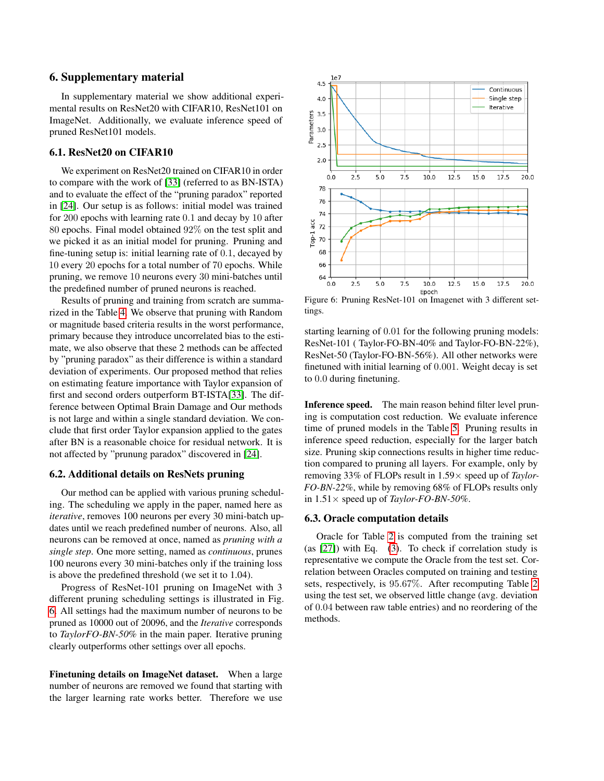## 6. Supplementary material

In supplementary material we show additional experimental results on ResNet20 with CIFAR10, ResNet101 on ImageNet. Additionally, we evaluate inference speed of pruned ResNet101 models.

# 6.1. ResNet20 on CIFAR10

We experiment on ResNet20 trained on CIFAR10 in order to compare with the work of [\[33\]](#page-8-9) (referred to as BN-ISTA) and to evaluate the effect of the "pruning paradox" reported in [\[24\]](#page-8-16). Our setup is as follows: initial model was trained for 200 epochs with learning rate 0.1 and decay by 10 after 80 epochs. Final model obtained 92% on the test split and we picked it as an initial model for pruning. Pruning and fine-tuning setup is: initial learning rate of 0.1, decayed by 10 every 20 epochs for a total number of 70 epochs. While pruning, we remove 10 neurons every 30 mini-batches until the predefined number of pruned neurons is reached.

Results of pruning and training from scratch are summarized in the Table [4.](#page-10-0) We observe that pruning with Random or magnitude based criteria results in the worst performance, primary because they introduce uncorrelated bias to the estimate, we also observe that these 2 methods can be affected by "pruning paradox" as their difference is within a standard deviation of experiments. Our proposed method that relies on estimating feature importance with Taylor expansion of first and second orders outperform BT-ISTA[\[33\]](#page-8-9). The difference between Optimal Brain Damage and Our methods is not large and within a single standard deviation. We conclude that first order Taylor expansion applied to the gates after BN is a reasonable choice for residual network. It is not affected by "prunung paradox" discovered in [\[24\]](#page-8-16).

### 6.2. Additional details on ResNets pruning

Our method can be applied with various pruning scheduling. The scheduling we apply in the paper, named here as *iterative*, removes 100 neurons per every 30 mini-batch updates until we reach predefined number of neurons. Also, all neurons can be removed at once, named as *pruning with a single step*. One more setting, named as *continuous*, prunes 100 neurons every 30 mini-batches only if the training loss is above the predefined threshold (we set it to 1.04).

Progress of ResNet-101 pruning on ImageNet with 3 different pruning scheduling settings is illustrated in Fig. [6.](#page-9-0) All settings had the maximum number of neurons to be pruned as 10000 out of 20096, and the *Iterative* corresponds to *TaylorFO-BN-50*% in the main paper. Iterative pruning clearly outperforms other settings over all epochs.

Finetuning details on ImageNet dataset. When a large number of neurons are removed we found that starting with the larger learning rate works better. Therefore we use

<span id="page-9-0"></span>

Figure 6: Pruning ResNet-101 on Imagenet with 3 different settings.

starting learning of 0.01 for the following pruning models: ResNet-101 ( Taylor-FO-BN-40% and Taylor-FO-BN-22%), ResNet-50 (Taylor-FO-BN-56%). All other networks were finetuned with initial learning of 0.001. Weight decay is set to 0.0 during finetuning.

Inference speed. The main reason behind filter level pruning is computation cost reduction. We evaluate inference time of pruned models in the Table [5.](#page-10-1) Pruning results in inference speed reduction, especially for the larger batch size. Pruning skip connections results in higher time reduction compared to pruning all layers. For example, only by removing 33% of FLOPs result in 1.59× speed up of *Taylor-FO-BN-22%*, while by removing 68% of FLOPs results only in 1.51× speed up of *Taylor-FO-BN-50%*.

### 6.3. Oracle computation details

Oracle for Table [2](#page-6-0) is computed from the training set (as [\[27\]](#page-8-13)) with Eq. [\(3\)](#page-2-1). To check if correlation study is representative we compute the Oracle from the test set. Correlation between Oracles computed on training and testing sets, respectively, is 95.67%. After recomputing Table [2](#page-6-0) using the test set, we observed little change (avg. deviation of 0.04 between raw table entries) and no reordering of the methods.